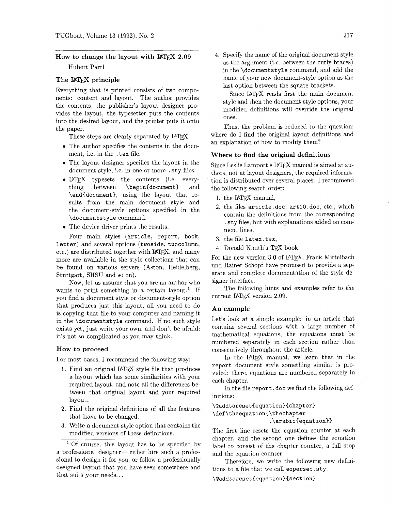# How to change the layout with IAT<sub>F</sub>X 2.09

Hubert Part1

# **The IATEX principle**

Everything that is printed consists of two components: content and layout. The author provides the contents, the publisher's layout designer provides the layout, the typesetter puts the contents into the desired layout, and the printer puts it onto the paper.

These steps are clearly separated by  $IATFX$ :

- The author specifies the contents in the document, i.e. in the .tex file. **Where to find the original definitions**
- The layout designer specifies the layout in the Since Leslie Lamport's  $\text{IATEX}$  manual is aimed at au-<br>document style, i.e. in one or more sty files. <br>there not at layout designers the required informa-
- $\end{tag}$  the layout that re-<br>1. the LATFX manual, sults from the main document style and the document-style options specified in the 2. the files  $\arctan 2$ . the files  $\arctan 2$ .
- The device driver prints the results.  $\frac{125 \text{ m/s}}{\text{ment lines}}$ .

Four main styles (article, report, book, 3. the file latex.tex. letter) and several options (twoside, twocolumn, etc.) are distributed together with IATEX, and many more are available in the style collections that can be found on various servers (Aston, Heidelberg, Stuttgart, SHSU and so on).

Now, let us assume that you are an author who wants to print something in a certain layout.<sup>1</sup> If you find a document style or document-style option that produces just this layout, all you need to do is copying that file to your computer and naming it in the \documentstyle command. If no such style exists yet, just write your own, and don't be afraid: it's not so complicated as you may think.

#### **How to proceed**

For most cases, I recommend the following way:

- 1. Find an original  $IATEX$  style file that produces a layout which has some similarities with your required layout, and note all the differences between that original layout and your required layout.
- 2. Find the original definitions of all the features that have to be changed.
- 3. Write a document-style option that contains the modified versions of these definitions.

4. Specify the name of the original document style as the argument (i.e. between the curly braces) in the \documentstyle command, and add the name of your new document-style option as the last option between the square brackets.

Since IATEX reads first the main document style and then the document-style options, your modified definitions will override the original ones.

Thus, the problem is reduced to the question: where do I find the original layout definitions and an explanation of how to modify them?

document style, i.e. in one or more sty files.<br>
• LATEX typesets the contents (i.e. every-<br>
tion is distributed over several places. I recommend<br>
the following search order: the following search order:

- 
- \document style command. contain the definitions from the corresponding .sty files, but with explanations added on com-
	-
	- 4. Donald Knuth's TFX book.

For the new version 3.0 of IATFX, Frank Mittelbach und Rainer Schöpf have promised to provide a separate and complete documentation of the style designer interface.

The following hints and examples refer to the current IATFX version 2.09.

### **An example**

Let's look at a simple example: in an article that contains several sections with a large number of mathematical equations, the equations must be numbered separately in each section rather than consecutively throughout the article.

In the IATFX manual, we learn that in the report document style something similar is provided: there, equations are numbered separately in each chapter.

In the file report. doc we find the following definit ions:

\@addtoreset{equation}{chapter} **\def\theequation{\thechapter**   $.\rangle$ arabic{equation}}

The first line resets the equation counter at each chapter, and the second one defines the equation label to consist of the chapter counter, a full stop and the equation counter.

Therefore, we write the following new definitions to a file that we call eqpersec. sty:

**\@addtoreset~equation){section)** 

Of course, this layout has to be specified by modified versions of these definitions.<br><sup>1</sup> Of course, this layout has to be specified by<br>a professional designer—either hire such a professional to design it for you, or follow a professionally designed layout that you have seen somewhere and that suits your needs.. .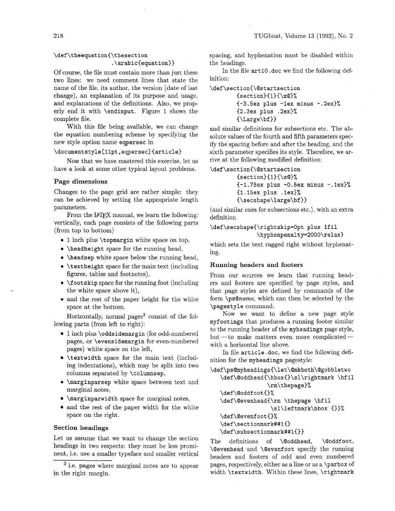## \def\theequation{\thesection  $.\arabic(equation)$

Of course, the file must contain more than just these two lines: we need comment lines that state the name of the file, its author, the version (date of last change), an explanation of its purpose and usage, and explanations of the definitions. Also, we properly end it with **\endinput.** Figure 1 shows the complete file.

With this file being available, we can change the equation numbering scheme by specifying the new style option name **eqpersec** in

#### \documentstyle[11pt,eqpersec]{article}

Now that we have mastered this exercise, let us have a look at some other typical layout problems.

#### **Page dimensions**

Changes to the page grid are rather simple: they can be achieved by setting the appropriate length parameters.

From the IATFX manual, we learn the following: vertically, each page consists of the following parts (from top to bottom)

- 1 inch plus **\topmargin** white space on top,
- **\headheight** space for the running head,
- **\headsep** white space below the running head,
- \textheight space for the main text (including **Running headers and footers** figures, tables and footnotes), From our sources we learn that running head-
- 
- space at the bottom. **The space of the bottom**  $\text{page 2: } \mathbb{Z} \times \text{page 3: } \mathbb{Z} \times \text{page 4: } \mathbb{Z} \times \text{page 5: } \mathbb{Z} \times \text{page 6: } \mathbb{Z} \times \text{page 7: } \mathbb{Z} \times \text{page 7: } \mathbb{Z} \times \text{page 8: } \mathbb{Z} \times \text{page 8: } \mathbb{Z} \times \text{page 8: } \mathbb{Z} \times \text{page 9: } \mathbb{Z}$

Horizontally, normal pages<sup>2</sup> consist of the following parts (from left to right):

- 1 inch plus **\oddsidemargin** (for odd-numbered pages, or **\evensidemargin** for even-numbered pages) white space on the left,
- **\textwidth** space for the main text (including indentations), which may be split into two columns separated by **\columnsep,**
- **<sup>0</sup>\marginparsep** white space between text and marginal notes,
- **\marginparwidth** space for marginal notes,
- and the rest of the paper width for the white space on the right.

#### **Section headings**

Let us assume that we want to change the section headings in two respects: they must be less prominent, i.e. use a smaller typeface and smaller vertical

<sup>2</sup> i.e. pages where marginal notes are to appear in the right margin.

spacing, and hyphenation must be disabled within the headings.

In the file **art 10. doc** we find the following definition:

```
\def\section{\@startsection
        Csection)CI)C\z@)% 
        C-3.5ex plus -1ex minus -.2ex)% 
        C2.3ex plus .2ex)% 
        I\Large\bf 1)
```
and similar definitions for subsections etc. The absolute values of the fourth and fifth parameters specify the spacing before and after the heading, and the sixth parameter specifies its style. Therefore, we arrive at the following modified definition:

\def\section{\@startsection  $\{section\}$ {1}{\zQ}% **{-1.75ex plus -0.5ex minus -.lex)% (1.15ex plus .iex)% C\secshape\large\bf 1)** 

(and similar ones for subsections etc.), with an extra definition

**\def\secshape(\rightskip=Opt plus lfil \hyphenpenalty=2000\relax)** 

which sets the text ragged right without hyphenat- $\frac{G}{D}$ 

**\f ootskip** space for the running foot (including ers and footers are specified by page styles, and the white space above it), that page styles are defined by commands of the • and the rest of the paper height for the white form **\ps@name**, which can then be selected by the

> Now we want to define a new page style **myf ootings** that produces a running footer similar to the running header of the **myheadings** page style, but-to make matters even more complicatedwith a horizontal line above.

> In file **article** . **doc,** we find the following definition for the **myheadings** pagestyle:

```
\def\ps~myheadings~\let\@mkboth\@gobbletwo 
   \def\@oddhead{\hbox{}\sl\rightmark \hfil
                 \rm\thepage)% 
   \def\@oddfootC)% 
   \def\@evenhead{\rm \thepage \hfil
                  \sl\leftmark\hbox {I)% 
   \def\@evenfootCl% 
   \def\sectionmark##lC) 
   \def\subsectionmark##lC))
```
The definitions of **\@oddhead**, **\@oddfoot**, **\@evenhead** and **\@evenf oot** specify the running headers and footers of odd and even numbered pages, respectively, either as a line or as a **\parbox** of width **\t extwidth.** Within these lines, **\rightmark**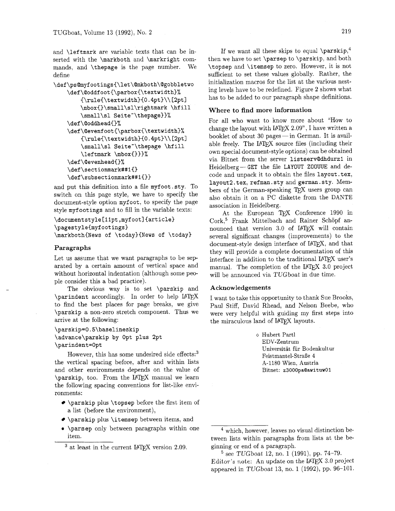serted with the **\markboth** and **\markright** commands, and **\thepage** is the page number. We **\topsep** and **\itemsep** to zero. However, it is not

```
\def\@oddfoot{\parbox{\textwidth}%
    \{|\text{textwidth}\{0.4pt}\}\| has to be added to our paragraph shape definitions.
    \mbox~~\small\sl\rightmark \hf ill 
    \small\sl Seite'\thepage))% 
\def\@oddhead{}%
\def\@evenfoot{\parbox{\textwidth}%
    {\rulei\textwidth){O . 4pt)\\ [2ptl 
    \small\sl Seite-\thepage \hf ill 
    \leftmark \mbox{)))% 
\def\Qevenhead{)% 
\def \sectionmark##l() 
\def\subsectionmark##l{}>
```
and put this definition into a file myfoot sty. To switch on this page style, we have to specify the document-style option **myfoot,** to specify the page style **myf ootings** and to fill in the variable texts:

```
\documentstyle [11pt, myfoot] {article}
\pagestyleimyfootings) 
\markboth{News of \today){News of \today)
```
#### **Paragraphs**

Let us assume that we want paragraphs to be separated by a certain amount of vertical space and without horizontal indentation (although some people consider this a bad practice).

The obvious way is to set **\parskip** and **\parindent** accordingly. In order to help I4T<sub>E</sub>X to find the best places for page breaks, we give **\parskip** a non-zero stretch component. Thus we arrive at the following:

**\parskip=O,5\baselineskip \advance\parskip by Opt plus 2pt \parindent=Opt** 

However, this has some undesired side effects: $3$ the vertical spacing before, after and within lists and other environments depends on the value of  $\text{parskip}$ , too. From the IPTEX manual we learn the following spacing conventions for list-like environments:

- **\parskip** plus **\topsep** before the first item of a list (before the environment),
- **\parskip** plus **\itemsep** between items, and
- **a \parsep** only between paragraphs within one item.

and **\leftmark** are variable texts that can be in-<br>serted with the **\markhoth** and **\markright** com-<br>then we have to set **\parsep** to **\parskip**, and both define sufficient to set these values globally. Rather, the<br>
hather sufficient to set these values globally. Rather, the<br>
initialization macros for the list at the various nest-\def\ps@myfootings{\let\@mkboth\@gobbletwo initialization macros for the list at the various nest-<br>at the various nest-<br>at the various nest-<br>ing levels have to be redefined. Figure 2 shows what

#### **Where to find more information**

For all who want to know more about "How to change the layout with IATFX 2.09", I have written a hooklet of about 30 pages—in German. It is available freely. The IATEX source files (including their own special document-style options) can be obtained via Bitnet from the server **1istservQdhdurzl** in Heidelberg-GET the file LAYOUT ZOOWE and decode and unpack it to obtain the files **layout. tex, layout:!. tex, refman. sty** and **german. sty.** Members of the German-speaking TFX users group can also obtain it on a PC diskette from the DANTE association in Heidelberg.

At the European TFX Conference 1990 in The Context of Text of Text of the Schöpf and Corp.<br>
nounced that version 3.0 of I4T<sub>E</sub>X will contain several significant changes (improvements) to the document-style design interface of IAT<sub>E</sub>X, and that they will provide a complete documentation of this interface in addition to the traditional  $IATEX$  user's interface in addition to the traditional IAT<sub>E</sub>X user's manual. The completion of the IAT<sub>E</sub>X 3.0 project will be announced via TUGboat in due time.

### **Acknowledgements**

I want to take this opportunity to thank Sue Brooks, Paul Stiff, David Rhead, and Nelson Beebe, who were very helpful with guiding my first steps into the miraculous land of IATEX layouts.

> o Hubert Part1 EDV-Zentrum Universitat fiir Bodenkultur Feistmantel-Straße 4 A-1180 Wien, Austria Bitnet: **z3000paQawituw01**

 $3$  at least in the current IATFX version 2.09.

which, however, leaves no visual distinction between lists within paragraphs from lists at the beginning or end of a paragraph.

 $5$  see TUGboat 12, no. 1 (1991), pp. 74-79. Editor's note: An update on the  $IATEX$  3.0 project appeared in TUGboat 13, no. 1 (1992), pp. 96-101.